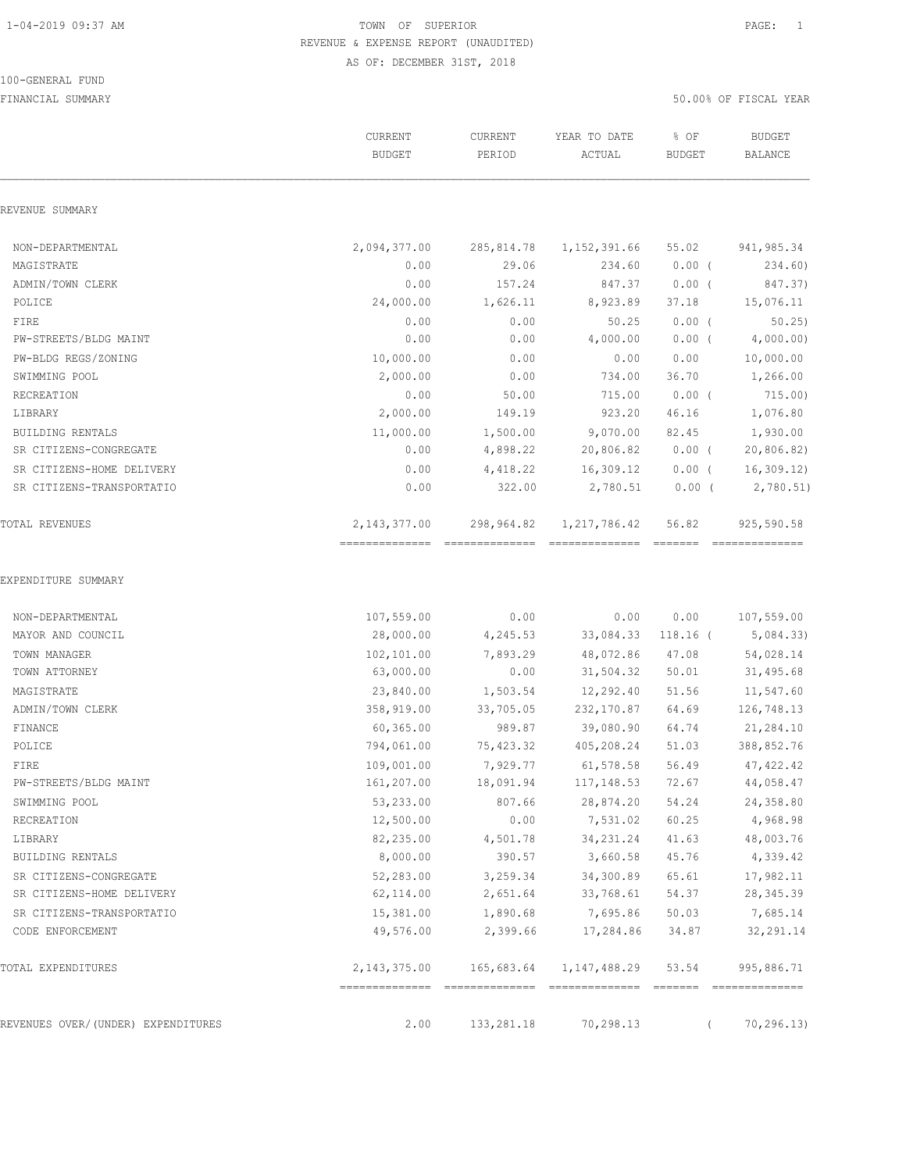#### 100-GENERAL FUND

|                                         | CURRENT<br><b>BUDGET</b>         | CURRENT<br>PERIOD             | YEAR TO DATE<br>ACTUAL | % OF<br><b>BUDGET</b> | <b>BUDGET</b><br><b>BALANCE</b> |
|-----------------------------------------|----------------------------------|-------------------------------|------------------------|-----------------------|---------------------------------|
| REVENUE SUMMARY                         |                                  |                               |                        |                       |                                 |
| NON-DEPARTMENTAL                        | 2,094,377.00                     | 285,814.78                    | 1, 152, 391.66         | 55.02                 | 941,985.34                      |
| MAGISTRATE                              | 0.00                             | 29.06                         | 234.60                 | $0.00$ (              | 234.60)                         |
| ADMIN/TOWN CLERK                        | 0.00                             | 157.24                        | 847.37                 | $0.00$ (              | 847.37)                         |
| POLICE                                  | 24,000.00                        | 1,626.11                      | 8,923.89               | 37.18                 | 15,076.11                       |
| FIRE                                    | 0.00                             | 0.00                          | 50.25                  | 0.00(                 | 50.25                           |
| PW-STREETS/BLDG MAINT                   | 0.00                             | 0.00                          | 4,000.00               | $0.00$ (              | 4,000.00)                       |
| PW-BLDG REGS/ZONING                     | 10,000.00                        | 0.00                          | 0.00                   | 0.00                  | 10,000.00                       |
| SWIMMING POOL                           | 2,000.00                         | 0.00                          | 734.00                 | 36.70                 | 1,266.00                        |
| RECREATION                              | 0.00                             | 50.00                         | 715.00                 | $0.00$ (              | 715.00)                         |
| LIBRARY                                 | 2,000.00                         | 149.19                        | 923.20                 | 46.16                 | 1,076.80                        |
| <b>BUILDING RENTALS</b>                 | 11,000.00                        | 1,500.00                      | 9,070.00               | 82.45                 | 1,930.00                        |
| SR CITIZENS-CONGREGATE                  | 0.00                             | 4,898.22                      | 20,806.82              | $0.00$ (              | 20,806.82)                      |
| SR CITIZENS-HOME DELIVERY               | 0.00                             | 4,418.22                      | 16,309.12              | $0.00$ (              | 16,309.12                       |
| SR CITIZENS-TRANSPORTATIO               | 0.00                             | 322.00                        | 2,780.51               | $0.00$ (              | 2,780.51)                       |
| TOTAL REVENUES                          | 2,143,377.00<br>--------------   | 298,964.82                    | 1,217,786.42           | 56.82                 | 925,590.58                      |
| EXPENDITURE SUMMARY<br>NON-DEPARTMENTAL | 107,559.00                       | 0.00                          | 0.00                   | 0.00                  | 107,559.00                      |
| MAYOR AND COUNCIL                       | 28,000.00                        | 4,245.53                      | 33,084.33              | $118.16$ (            | 5,084.33)                       |
| TOWN MANAGER                            | 102,101.00                       | 7,893.29                      | 48,072.86              | 47.08                 | 54,028.14                       |
| TOWN ATTORNEY                           | 63,000.00                        | 0.00                          | 31,504.32              | 50.01                 | 31,495.68                       |
| MAGISTRATE                              | 23,840.00                        | 1,503.54                      | 12,292.40              | 51.56                 | 11,547.60                       |
| ADMIN/TOWN CLERK                        | 358,919.00                       | 33,705.05                     | 232,170.87             | 64.69                 | 126,748.13                      |
| FINANCE                                 | 60,365.00                        | 989.87                        | 39,080.90              | 64.74                 | 21,284.10                       |
| POLICE                                  | 794,061.00                       | 75,423.32                     | 405,208.24             | 51.03                 | 388,852.76                      |
| FIRE                                    | 109,001.00                       | 7,929.77                      | 61,578.58              | 56.49                 | 47, 422.42                      |
| PW-STREETS/BLDG MAINT                   | 161,207.00                       | 18,091.94                     | 117, 148.53            | 72.67                 | 44,058.47                       |
| SWIMMING POOL                           | 53,233.00                        | 807.66                        | 28,874.20              | 54.24                 | 24,358.80                       |
| RECREATION                              | 12,500.00                        | 0.00                          | 7,531.02               | 60.25                 | 4,968.98                        |
| LIBRARY                                 | 82,235.00                        | 4,501.78                      | 34,231.24              | 41.63                 | 48,003.76                       |
| BUILDING RENTALS                        | 8,000.00                         | 390.57                        | 3,660.58               | 45.76                 | 4,339.42                        |
| SR CITIZENS-CONGREGATE                  | 52,283.00                        | 3,259.34                      | 34,300.89              | 65.61                 | 17,982.11                       |
| SR CITIZENS-HOME DELIVERY               | 62,114.00                        | 2,651.64                      | 33,768.61              | 54.37                 | 28, 345.39                      |
| SR CITIZENS-TRANSPORTATIO               | 15,381.00                        | 1,890.68                      | 7,695.86               | 50.03                 | 7,685.14                        |
| CODE ENFORCEMENT                        | 49,576.00                        | 2,399.66                      | 17,284.86              | 34.87                 | 32,291.14                       |
| TOTAL EXPENDITURES                      | 2, 143, 375.00<br>-------------- | 165,683.64<br>--------------- | 1, 147, 488.29         | 53.54<br>--------     | 995,886.71<br>---------------   |
| REVENUES OVER/(UNDER) EXPENDITURES      | 2.00                             | 133,281.18                    | 70,298.13              |                       | 70, 296.13                      |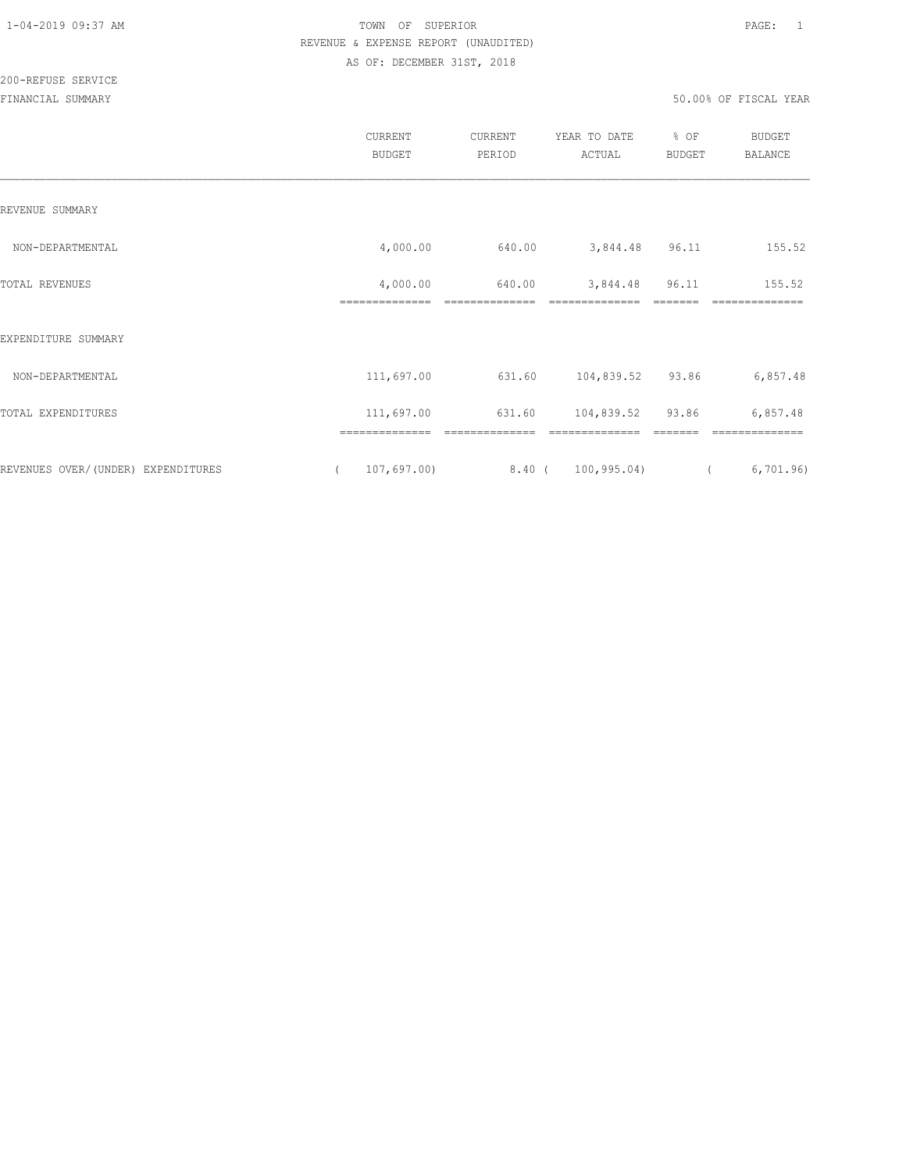|                                    | CURRENT<br><b>BUDGET</b>     | CURRENT<br>PERIOD | YEAR TO DATE<br>ACTUAL | % OF<br>BUDGET | <b>BUDGET</b><br><b>BALANCE</b> |
|------------------------------------|------------------------------|-------------------|------------------------|----------------|---------------------------------|
| REVENUE SUMMARY                    |                              |                   |                        |                |                                 |
| NON-DEPARTMENTAL                   | 4,000.00                     | 640.00            | 3,844.48               | 96.11          | 155.52                          |
| TOTAL REVENUES                     | 4,000.00<br>==============   | 640.00            | 3,844.48               | 96.11          | 155.52                          |
| EXPENDITURE SUMMARY                |                              |                   |                        |                |                                 |
| NON-DEPARTMENTAL                   | 111,697.00                   | 631.60            | 104,839.52             | 93.86          | 6,857.48                        |
| TOTAL EXPENDITURES                 | 111,697.00                   | 631.60            | 104,839.52 93.86       |                | 6,857.48                        |
| REVENUES OVER/(UNDER) EXPENDITURES | --------------<br>107,697.00 | 8.40 (            | 100, 995.04)           |                | 6,701.96                        |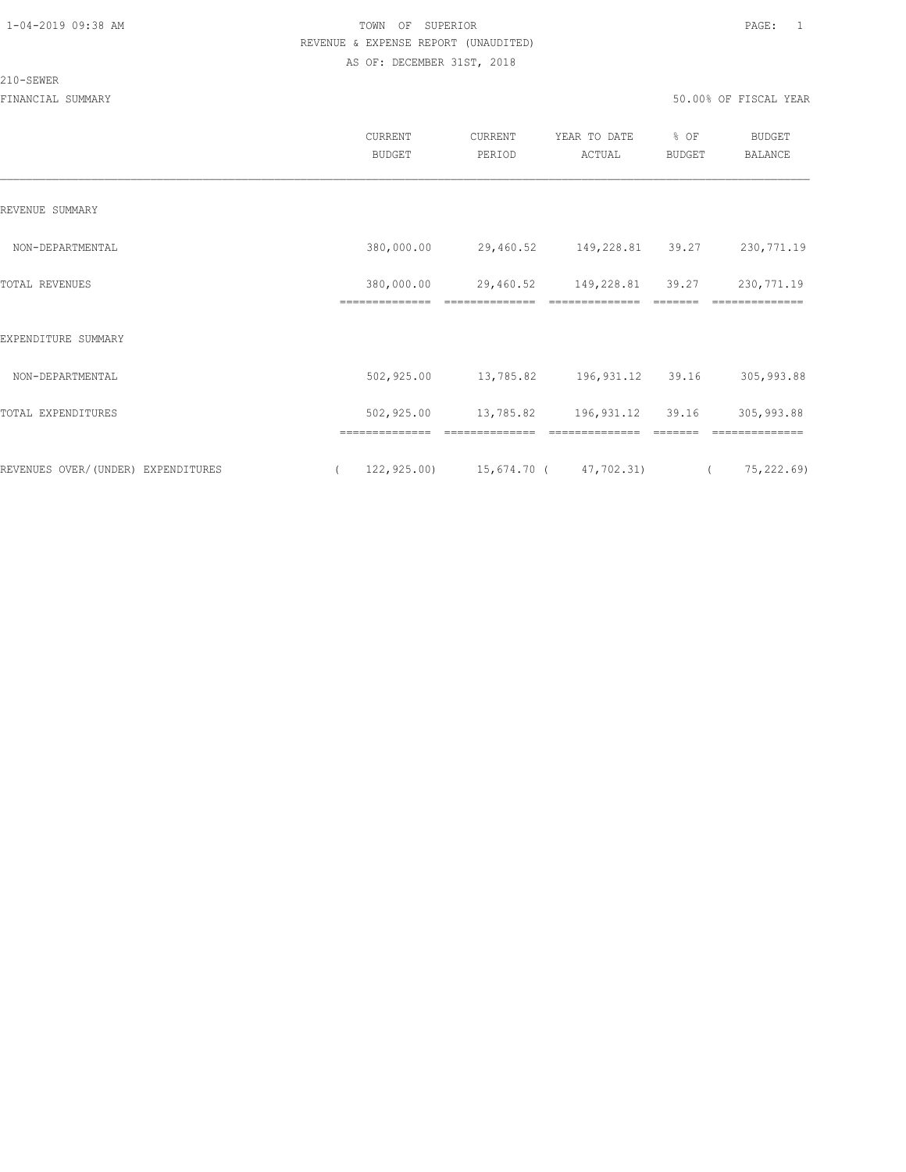#### 210-SEWER

|                                    | CURRENT<br><b>BUDGET</b> | CURRENT<br>PERIOD                        | YEAR TO DATE<br>ACTUAL | % OF<br><b>BUDGET</b> | <b>BUDGET</b><br><b>BALANCE</b> |
|------------------------------------|--------------------------|------------------------------------------|------------------------|-----------------------|---------------------------------|
| REVENUE SUMMARY                    |                          |                                          |                        |                       |                                 |
| NON-DEPARTMENTAL                   | 380,000.00               | 29,460.52 149,228.81 39.27               |                        |                       | 230,771.19                      |
| <b>TOTAL REVENUES</b>              | 380,000.00               | 29,460.52                                | 149,228.81             | 39.27                 | 230,771.19                      |
| EXPENDITURE SUMMARY                |                          |                                          |                        |                       |                                 |
| NON-DEPARTMENTAL                   | 502,925.00               | 13,785.82 196,931.12 39.16               |                        |                       | 305,993.88                      |
| TOTAL EXPENDITURES                 | 502,925.00               | 13,785.82 196,931.12 39.16               |                        |                       | 305,993.88                      |
|                                    |                          |                                          |                        |                       |                                 |
| REVENUES OVER/(UNDER) EXPENDITURES | $\left($                 | $122,925.00$ $15,674.70$ ( $47,702.31$ ( |                        |                       | 75,222.69)                      |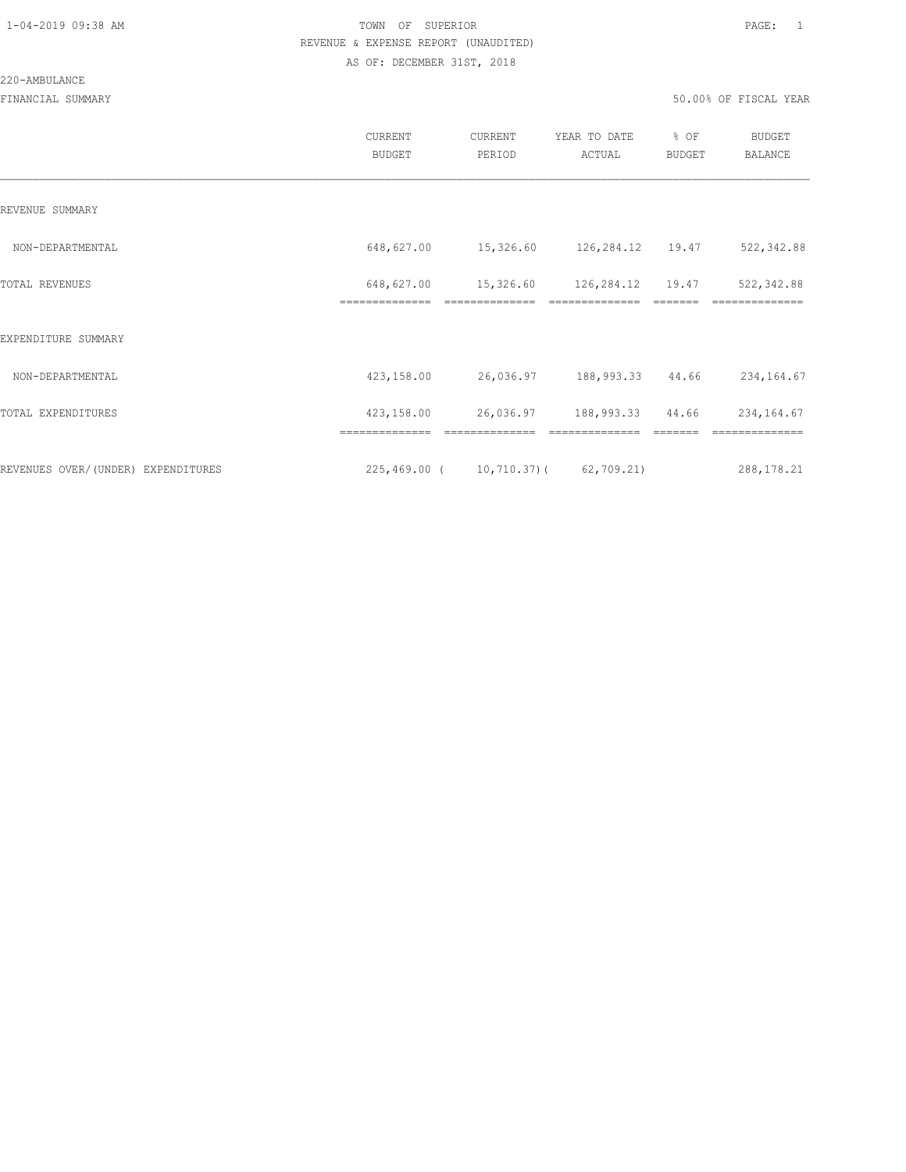#### 220-AMBULANCE

|                                    | CURRENT<br><b>BUDGET</b>     | CURRENT<br>PERIOD                    | YEAR TO DATE<br>ACTUAL             | % OF<br>BUDGET | <b>BUDGET</b><br>BALANCE     |
|------------------------------------|------------------------------|--------------------------------------|------------------------------------|----------------|------------------------------|
| REVENUE SUMMARY                    |                              |                                      |                                    |                |                              |
| NON-DEPARTMENTAL                   | 648,627.00                   | 15,326.60 126,284.12 19.47           |                                    |                | 522,342.88                   |
| TOTAL REVENUES                     | 648,627.00<br>============== | 15,326.60<br>--------------          | 126,284.12 19.47<br>============== |                | 522,342.88<br>-------------- |
| EXPENDITURE SUMMARY                |                              |                                      |                                    |                |                              |
| NON-DEPARTMENTAL                   | 423,158.00                   | 26,036.97 188,993.33 44.66           |                                    |                | 234,164.67                   |
| TOTAL EXPENDITURES                 | 423,158.00                   |                                      | 26,036.97 188,993.33 44.66         |                | 234, 164.67                  |
|                                    | ==============               | ==============                       | ==============                     | =======        | ==============               |
| REVENUES OVER/(UNDER) EXPENDITURES |                              | 225,469.00 ( 10,710.37) ( 62,709.21) |                                    |                | 288, 178. 21                 |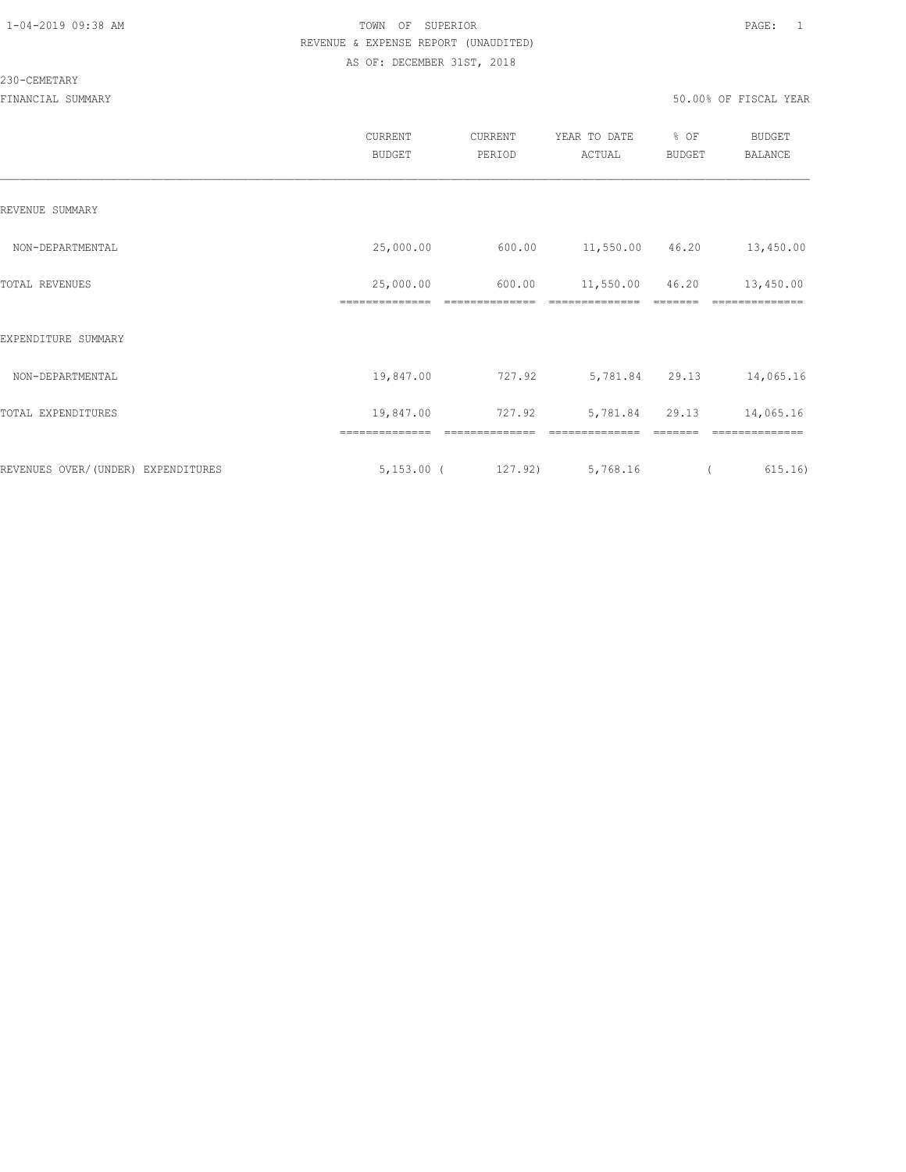#### 230-CEMETARY

|                                     | CURRENT<br><b>BUDGET</b> | CURRENT<br>PERIOD         | YEAR TO DATE<br>ACTUAL | % OF<br>BUDGET | <b>BUDGET</b><br><b>BALANCE</b> |
|-------------------------------------|--------------------------|---------------------------|------------------------|----------------|---------------------------------|
| REVENUE SUMMARY                     |                          |                           |                        |                |                                 |
| NON-DEPARTMENTAL                    | 25,000.00                | 600.00                    | 11,550.00 46.20        |                | 13,450.00                       |
| TOTAL REVENUES                      | 25,000.00                | 600.00                    | 11,550.00              | 46.20          | 13,450.00                       |
| EXPENDITURE SUMMARY                 |                          |                           |                        |                |                                 |
| NON-DEPARTMENTAL                    | 19,847.00                | 727.92                    | 5,781.84 29.13         |                | 14,065.16                       |
| TOTAL EXPENDITURES                  | 19,847.00                | 727.92                    | 5,781.84               | 29.13          | 14,065.16                       |
|                                     | ==============           | ==============<br>127.92) |                        |                | ==============                  |
| REVENUES OVER/ (UNDER) EXPENDITURES | $5,153.00$ (             |                           | 5,768.16               |                | 615.16)                         |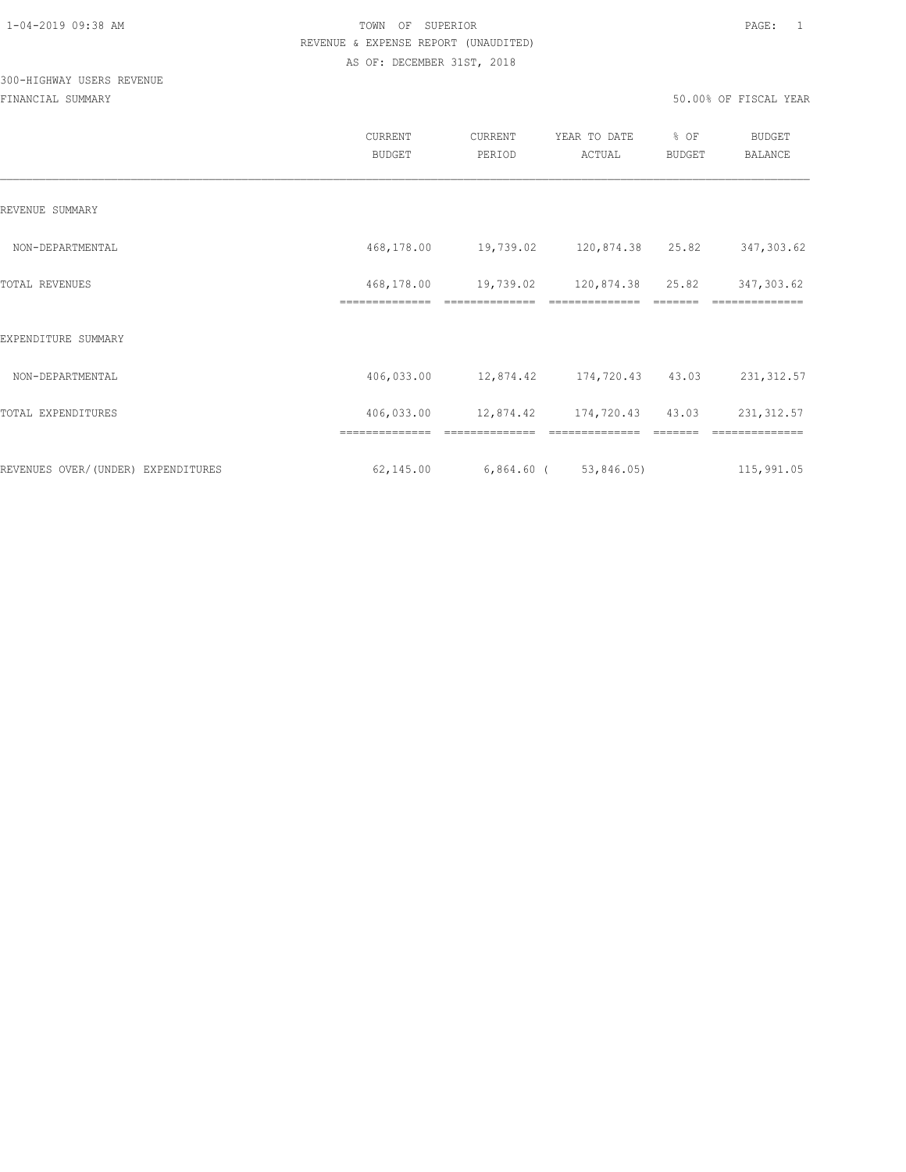# 300-HIGHWAY USERS REVENUE

|                                     | CURRENT<br><b>BUDGET</b>     | CURRENT<br>PERIOD          | YEAR TO DATE<br>ACTUAL     | % OF<br><b>BUDGET</b> | <b>BUDGET</b><br><b>BALANCE</b> |
|-------------------------------------|------------------------------|----------------------------|----------------------------|-----------------------|---------------------------------|
| REVENUE SUMMARY                     |                              |                            |                            |                       |                                 |
| NON-DEPARTMENTAL                    | 468,178.00                   | 19,739.02 120,874.38 25.82 |                            |                       | 347,303.62                      |
| TOTAL REVENUES                      | 468,178.00<br>============== | 19,739.02                  | 120,874.38 25.82           |                       | 347,303.62                      |
| EXPENDITURE SUMMARY                 |                              |                            |                            |                       |                                 |
| NON-DEPARTMENTAL                    | 406,033.00                   |                            | 12,874.42 174,720.43 43.03 |                       | 231, 312.57                     |
| TOTAL EXPENDITURES                  | 406,033.00                   | 12,874.42 174,720.43 43.03 |                            |                       | 231, 312.57                     |
|                                     |                              |                            |                            |                       |                                 |
| REVENUES OVER/ (UNDER) EXPENDITURES | 62,145.00                    | $6,864.60$ ( $53,846.05$ ) |                            |                       | 115,991.05                      |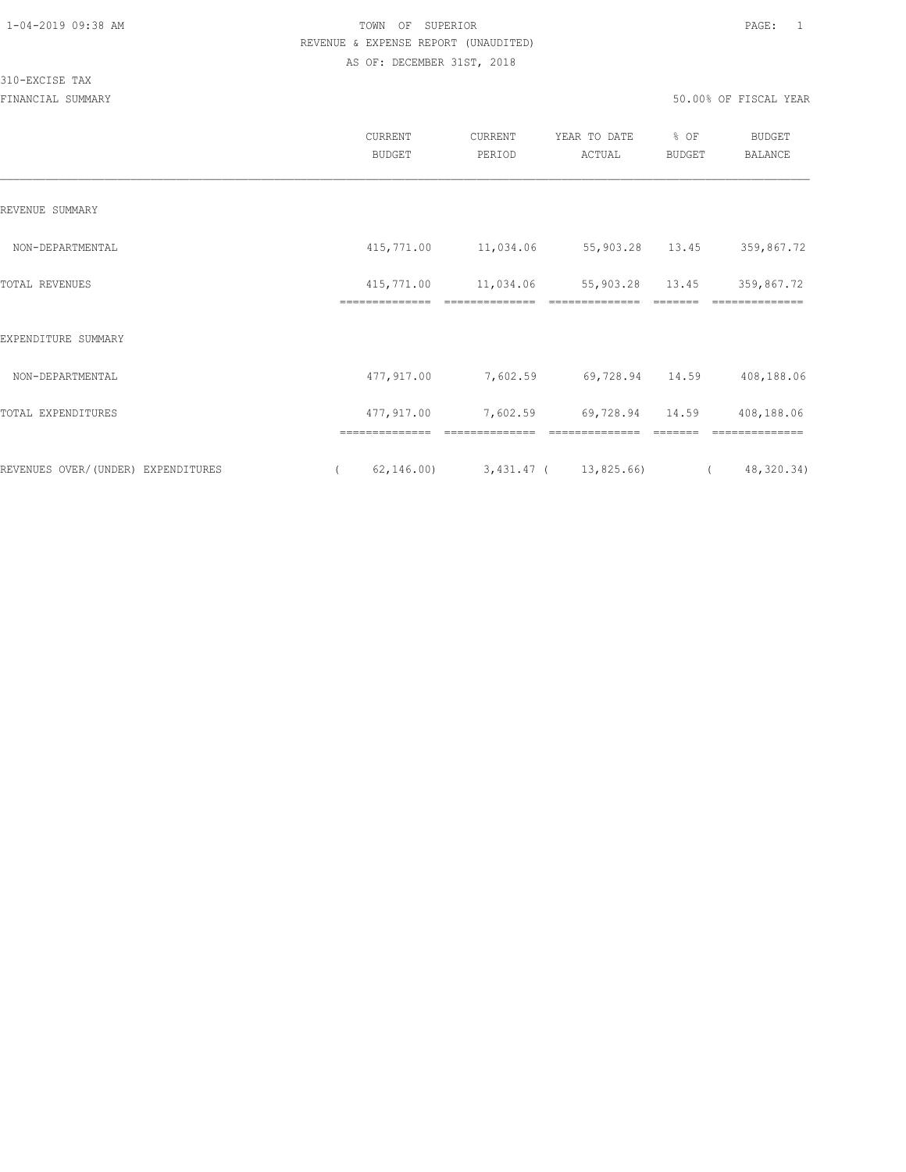#### 310-EXCISE TAX

|                                    | CURRENT<br><b>BUDGET</b>                 | CURRENT<br>PERIOD                       | YEAR TO DATE<br>ACTUAL | % OF<br><b>BUDGET</b> | <b>BUDGET</b><br>BALANCE     |
|------------------------------------|------------------------------------------|-----------------------------------------|------------------------|-----------------------|------------------------------|
| REVENUE SUMMARY                    |                                          |                                         |                        |                       |                              |
| NON-DEPARTMENTAL                   | 415,771.00                               | 11,034.06                               | 55,903.28 13.45        |                       | 359,867.72                   |
| TOTAL REVENUES                     | 415,771.00<br>==============             | 11,034.06                               | 55,903.28              | 13.45                 | 359,867.72                   |
| EXPENDITURE SUMMARY                |                                          |                                         |                        |                       |                              |
| NON-DEPARTMENTAL                   | 477,917.00                               | 7,602.59                                | 69,728.94 14.59        |                       | 408,188.06                   |
| TOTAL EXPENDITURES                 | 477,917.00                               | 7,602.59                                | 69,728.94 14.59        |                       | 408,188.06                   |
| REVENUES OVER/(UNDER) EXPENDITURES | ==============<br>62,146.00)<br>$\left($ | ==============<br>3,431.47 ( 13,825.66) | ==============         | $\overline{a}$        | ==============<br>48,320.34) |
|                                    |                                          |                                         |                        |                       |                              |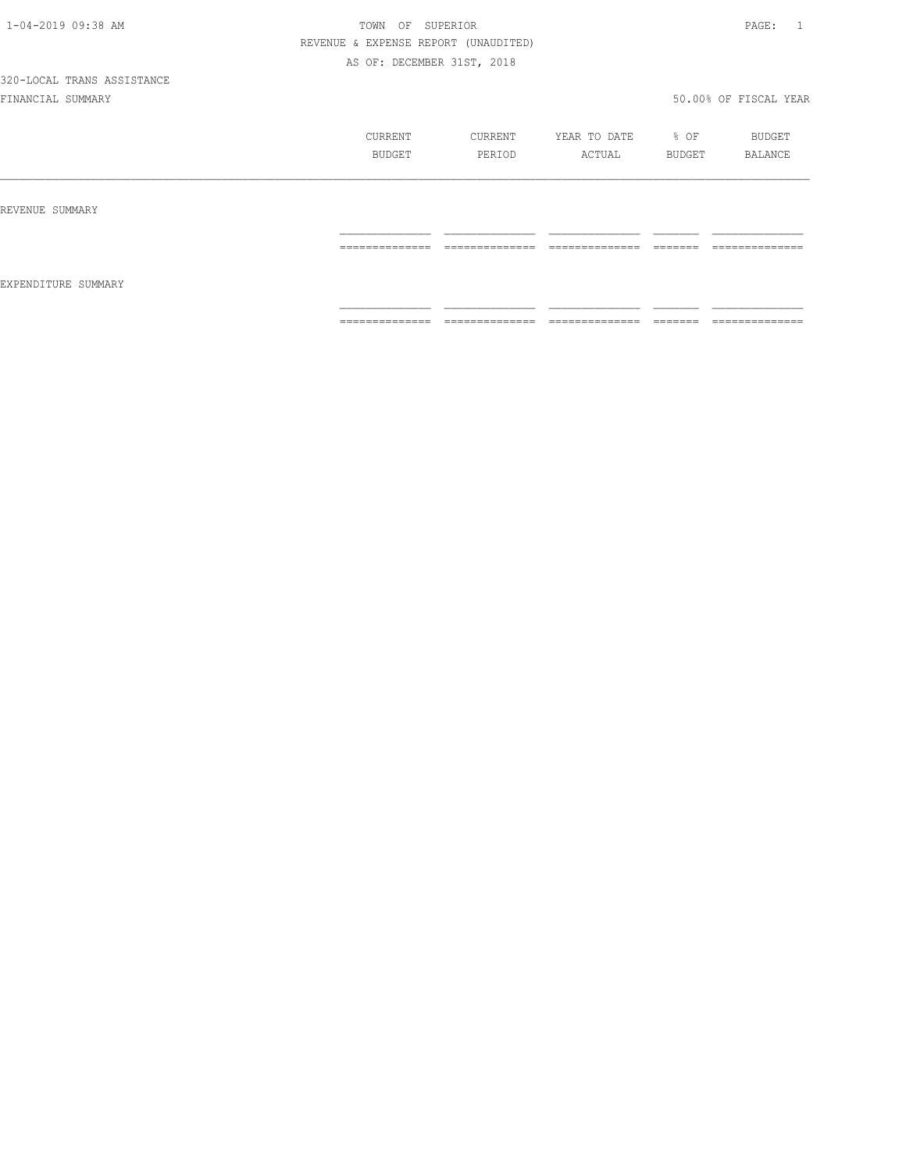|                     | CURRENT<br>BUDGET                  | CURRENT<br>PERIOD               | YEAR TO DATE<br>ACTUAL           | % OF<br>BUDGET      | BUDGET<br>BALANCE                 |
|---------------------|------------------------------------|---------------------------------|----------------------------------|---------------------|-----------------------------------|
| REVENUE SUMMARY     |                                    |                                 |                                  |                     |                                   |
|                     | ______________<br>________________ | ______________<br>------------- | ______________<br>-------------  | --------<br>======  | ______________<br>_______________ |
| EXPENDITURE SUMMARY |                                    |                                 |                                  |                     |                                   |
|                     | ==============                     | $2222222222222222$              | ______________<br>-------------- | --------<br>------- | ______________<br>--------------- |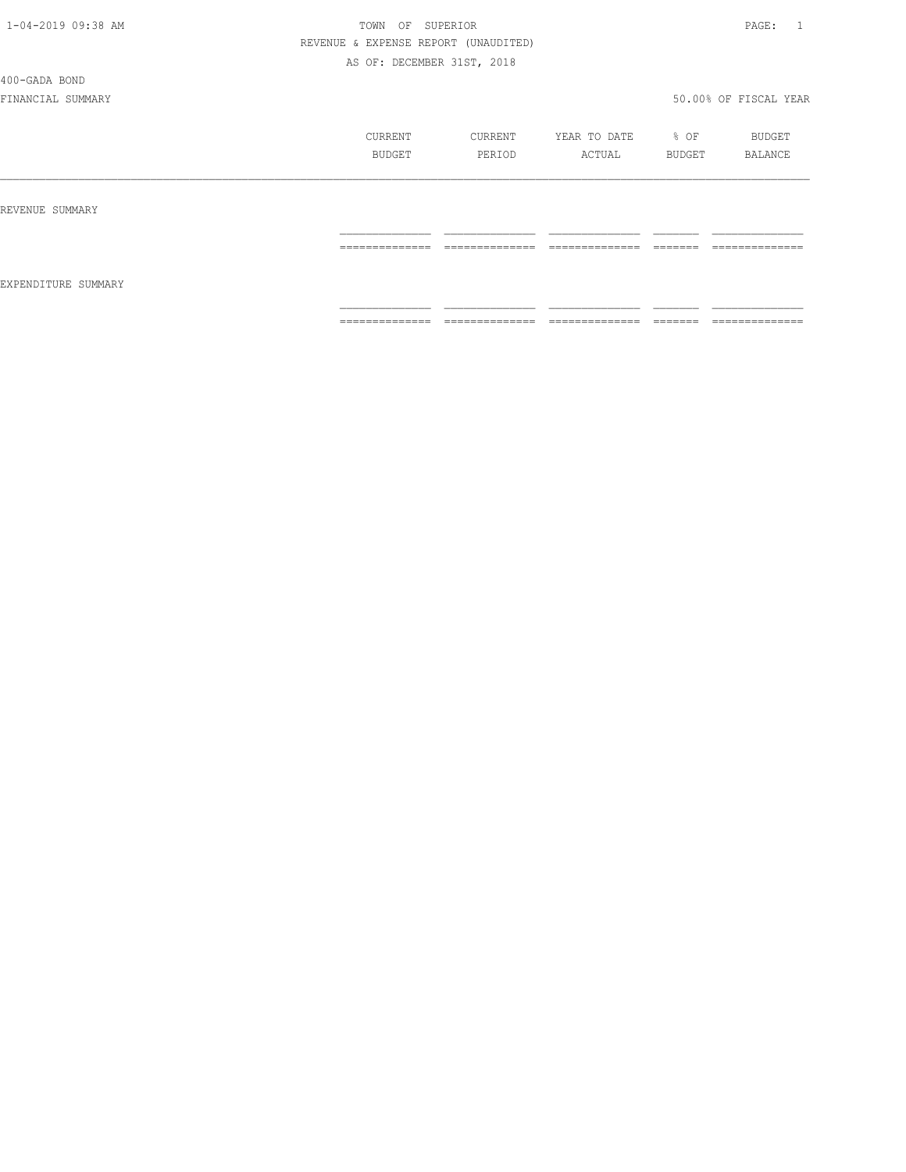400-GADA BOND

|                     | CURRENT        | CURRENT        | YEAR TO DATE    | % OF     | BUDGET          |
|---------------------|----------------|----------------|-----------------|----------|-----------------|
|                     | BUDGET         | PERIOD         | ACTUAL          | BUDGET   | BALANCE         |
| REVENUE SUMMARY     |                |                |                 |          |                 |
| EXPENDITURE SUMMARY | -------------- | -------------- | --------------- | -------  | --------------  |
|                     | .              | .              | .               | ________ | _______________ |
|                     | ============== | ============== | ==============  | =======  | ==============  |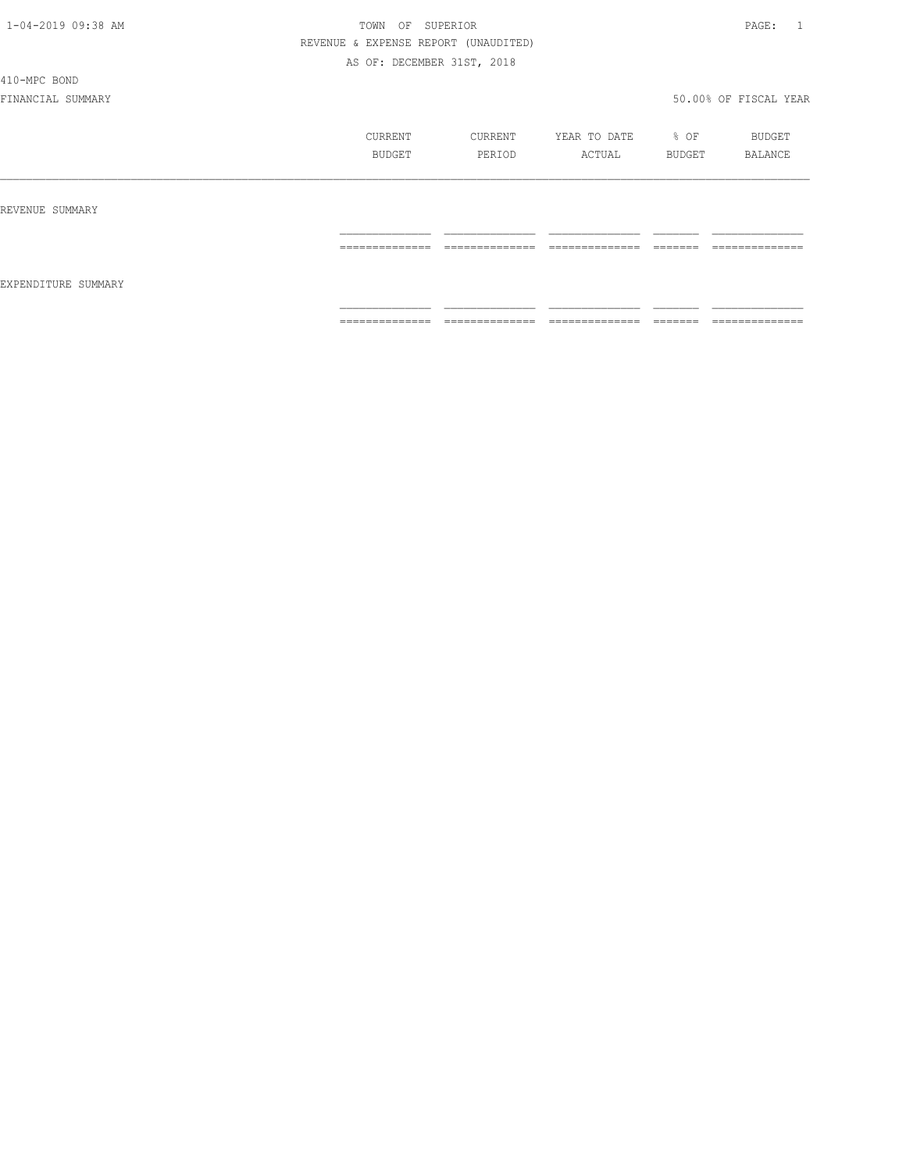410-MPC BOND

|                     | CURRENT<br>BUDGET   | CURRENT<br>PERIOD               | YEAR TO DATE<br>ACTUAL | % OF<br>BUDGET     | BUDGET<br>BALANCE              |
|---------------------|---------------------|---------------------------------|------------------------|--------------------|--------------------------------|
| REVENUE SUMMARY     |                     |                                 |                        |                    |                                |
|                     | ______________<br>. | ______________<br>------------- | ______________<br>.    | --------<br>______ | ______________<br>------------ |
| EXPENDITURE SUMMARY |                     |                                 |                        |                    |                                |
|                     | ==============      | ==============                  | ==============         | =======            | ==============                 |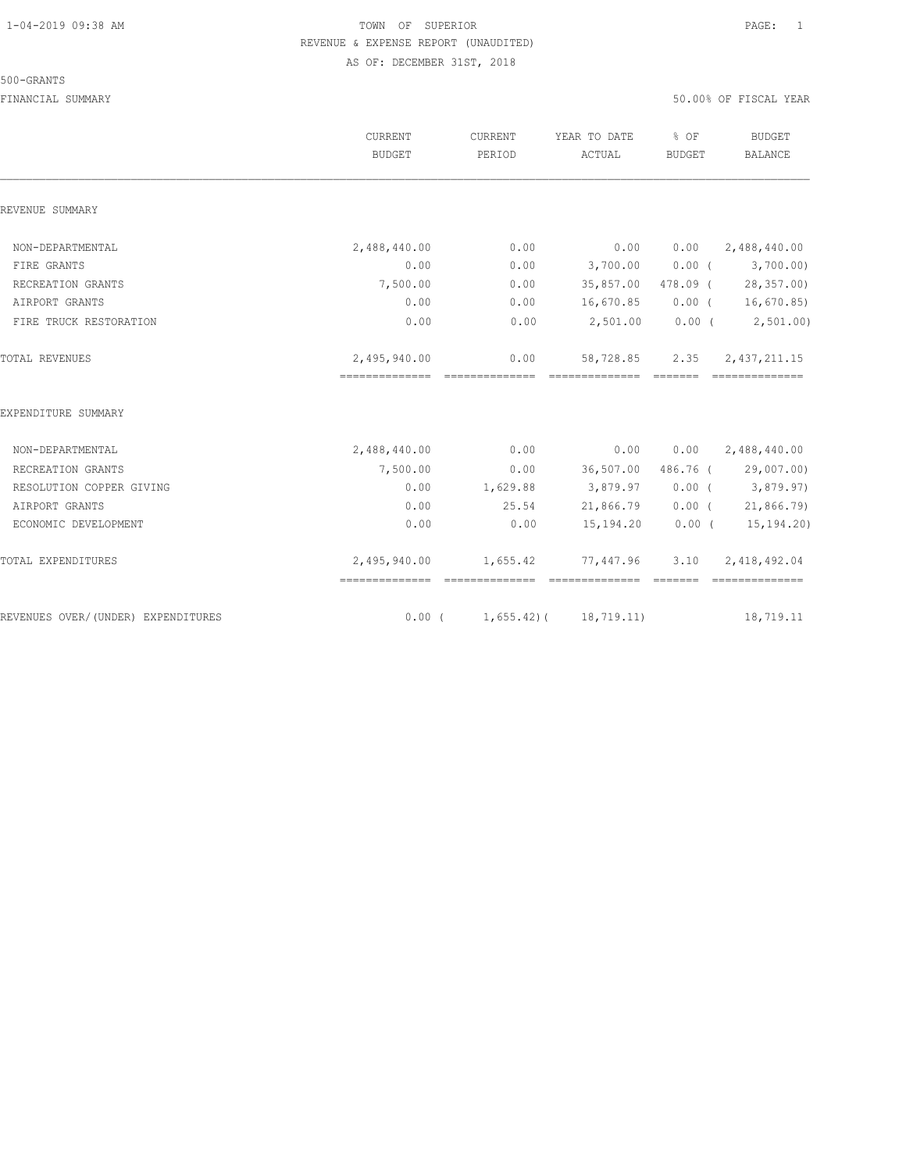#### 500-GRANTS

|                                    | <b>CURRENT</b><br>BUDGET                            | CURRENT<br>PERIOD | YEAR TO DATE<br>ACTUAL       | % OF<br><b>BUDGET</b> | <b>BUDGET</b><br><b>BALANCE</b>  |
|------------------------------------|-----------------------------------------------------|-------------------|------------------------------|-----------------------|----------------------------------|
| REVENUE SUMMARY                    |                                                     |                   |                              |                       |                                  |
| NON-DEPARTMENTAL                   | 2,488,440.00                                        | 0.00              | 0.00                         | 0.00                  | 2,488,440.00                     |
| FIRE GRANTS                        | 0.00                                                | 0.00              | 3,700.00                     | $0.00$ (              | 3,700.00)                        |
| RECREATION GRANTS                  | 7,500.00                                            | 0.00              | 35,857.00                    |                       | 478.09 (28,357.00)               |
| AIRPORT GRANTS                     | 0.00                                                | 0.00              | 16,670.85                    |                       | $0.00$ ( 16,670.85)              |
| FIRE TRUCK RESTORATION             | 0.00                                                | 0.00              | 2,501.00                     | 0.00(                 | 2, 501.00                        |
| <b>TOTAL REVENUES</b>              | 2,495,940.00<br>___________________________________ | 0.00              | 58,728.85<br>--------------- | 2.35<br>_______       | 2, 437, 211.15<br>============== |
| EXPENDITURE SUMMARY                |                                                     |                   |                              |                       |                                  |
| NON-DEPARTMENTAL                   | 2,488,440.00                                        | 0.00              | 0.00                         | 0.00                  | 2,488,440.00                     |
| RECREATION GRANTS                  | 7,500.00                                            | 0.00              | 36,507.00                    |                       | 486.76 (29,007.00)               |
| RESOLUTION COPPER GIVING           | 0.00                                                | 1,629.88          | 3,879.97                     |                       | $0.00$ ( 3,879.97)               |
| AIRPORT GRANTS                     | 0.00                                                | 25.54             | 21,866.79                    |                       | $0.00$ ( 21,866.79)              |
| ECONOMIC DEVELOPMENT               | 0.00                                                | 0.00              | 15,194.20                    | $0.00$ (              | 15,194.20)                       |
| TOTAL EXPENDITURES                 | 2,495,940.00                                        | 1,655.42          | 77,447.96                    | 3.10                  | 2,418,492.04<br>==============   |
| REVENUES OVER/(UNDER) EXPENDITURES | $0.00$ (                                            |                   | $1,655.42$ ( $18,719.11$ )   |                       | 18,719.11                        |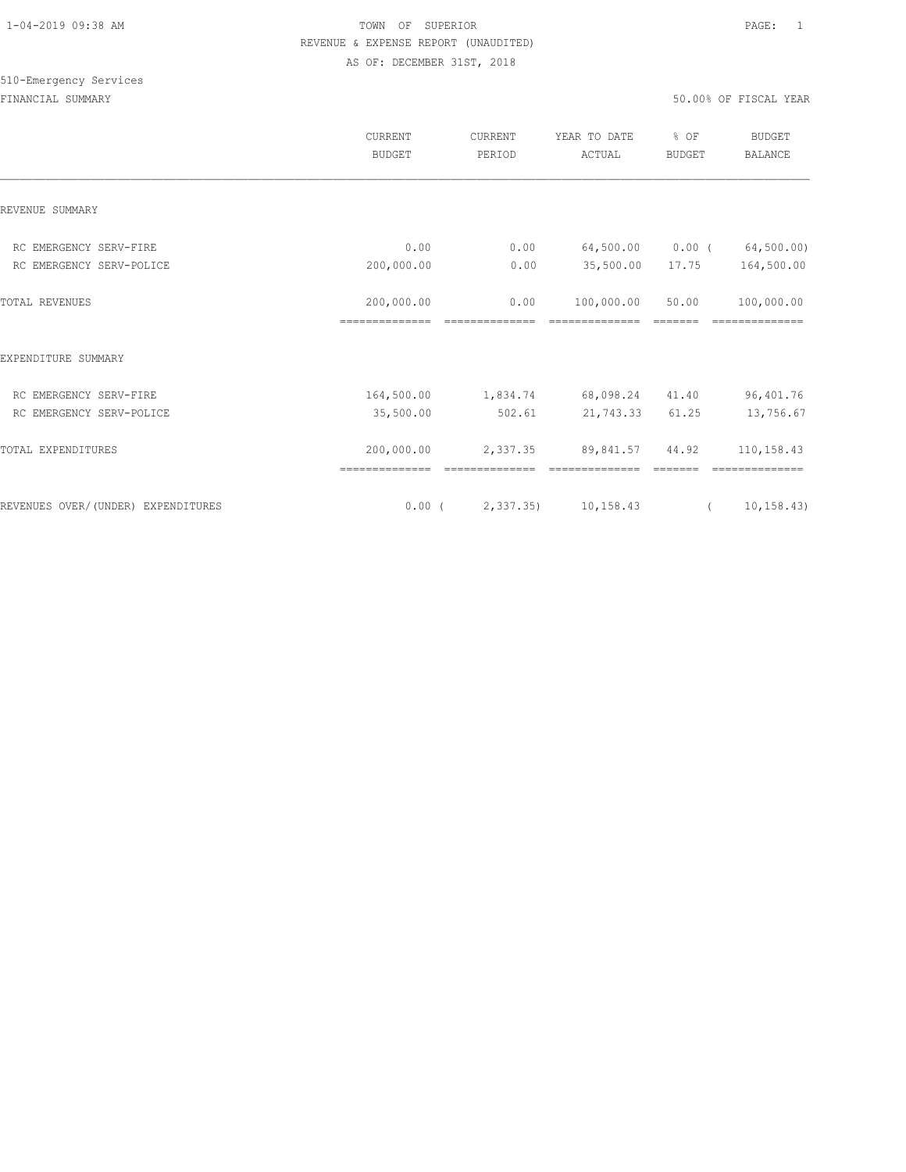|                                                    | CURRENT<br><b>BUDGET</b> | <b>CURRENT</b><br>PERIOD | YEAR TO DATE<br>ACTUAL                | % OF<br><b>BUDGET</b> | <b>BUDGET</b><br><b>BALANCE</b> |
|----------------------------------------------------|--------------------------|--------------------------|---------------------------------------|-----------------------|---------------------------------|
| REVENUE SUMMARY                                    |                          |                          |                                       |                       |                                 |
| RC EMERGENCY SERV-FIRE                             | 0.00                     | 0.00                     | 64,500.00                             | $0.00$ (              | 64,500.00)                      |
| RC EMERGENCY SERV-POLICE                           | 200,000.00               | 0.00                     | 35,500.00                             | 17.75                 | 164,500.00                      |
| TOTAL REVENUES                                     | 200,000.00               | 0.00                     | 100,000.00                            | 50.00                 | 100,000.00                      |
| EXPENDITURE SUMMARY                                | ==============           |                          |                                       |                       |                                 |
|                                                    |                          |                          |                                       |                       |                                 |
| RC EMERGENCY SERV-FIRE<br>RC EMERGENCY SERV-POLICE | 164,500.00<br>35,500.00  | 502.61                   | 1,834.74 68,098.24 41.40<br>21,743.33 | 61.25                 | 96,401.76<br>13,756.67          |
|                                                    |                          |                          |                                       |                       |                                 |
| TOTAL EXPENDITURES                                 | 200,000.00               | 2,337.35                 | 89,841.57                             | 44.92                 | 110,158.43                      |
|                                                    |                          |                          |                                       |                       |                                 |
| REVENUES OVER/(UNDER) EXPENDITURES                 | $0.00$ (                 | 2,337.35)                | 10,158.43                             | $\sqrt{2}$            | 10, 158.43                      |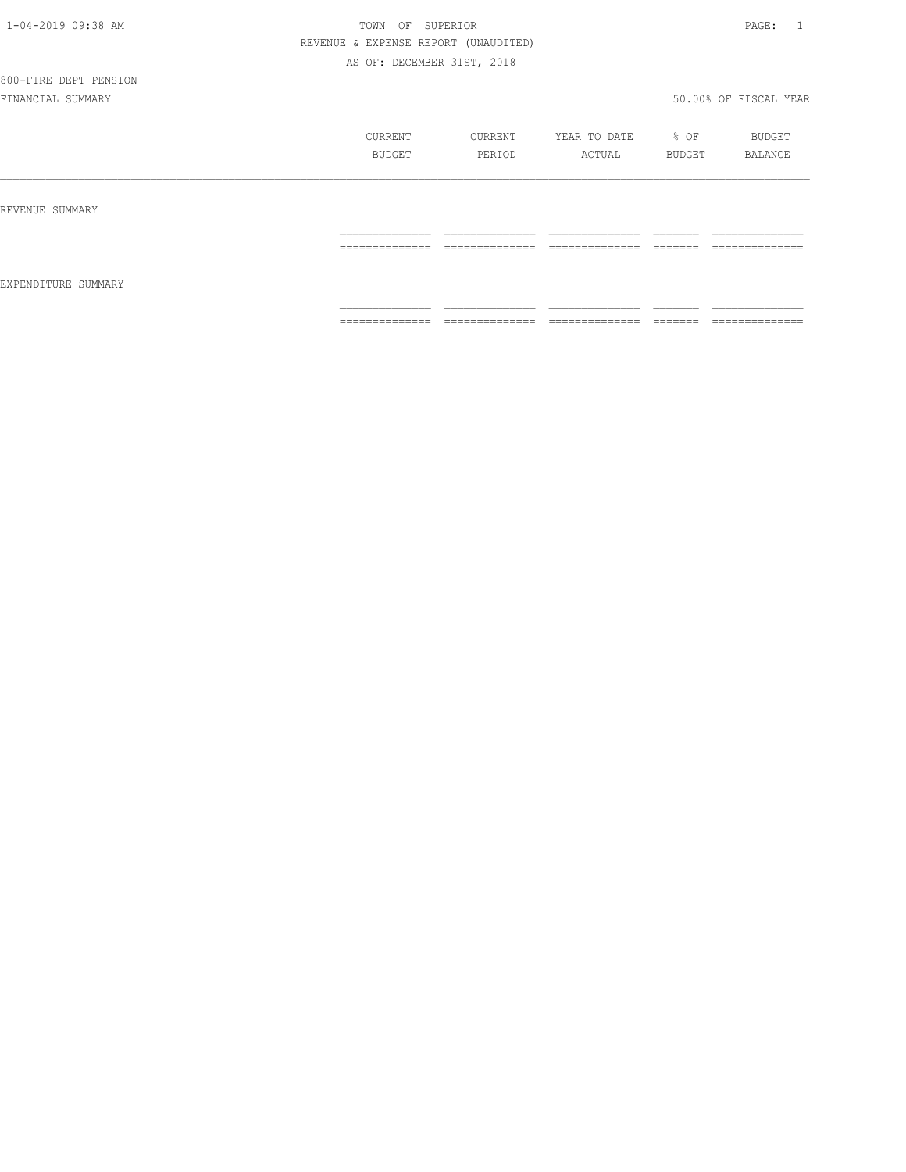# 800-FIRE DEPT PENSION

|                     | CURRENT<br>BUDGET | CURRENT<br>PERIOD  | YEAR TO DATE<br>ACTUAL                                                                                                                                                                                                                                                                                                                                                                                                                                                                       | % OF<br>BUDGET                                                                                                                                                                                                                                                                                                                                                                                                                                         | BUDGET<br>BALANCE                  |
|---------------------|-------------------|--------------------|----------------------------------------------------------------------------------------------------------------------------------------------------------------------------------------------------------------------------------------------------------------------------------------------------------------------------------------------------------------------------------------------------------------------------------------------------------------------------------------------|--------------------------------------------------------------------------------------------------------------------------------------------------------------------------------------------------------------------------------------------------------------------------------------------------------------------------------------------------------------------------------------------------------------------------------------------------------|------------------------------------|
| REVENUE SUMMARY     |                   |                    |                                                                                                                                                                                                                                                                                                                                                                                                                                                                                              |                                                                                                                                                                                                                                                                                                                                                                                                                                                        |                                    |
| EXPENDITURE SUMMARY | ==============    | ==============     | $\begin{array}{c} \multicolumn{2}{c} {\textbf{1}} & \multicolumn{2}{c} {\textbf{2}} & \multicolumn{2}{c} {\textbf{3}} & \multicolumn{2}{c} {\textbf{4}} \\ \multicolumn{2}{c} {\textbf{2}} & \multicolumn{2}{c} {\textbf{3}} & \multicolumn{2}{c} {\textbf{4}} & \multicolumn{2}{c} {\textbf{5}} & \multicolumn{2}{c} {\textbf{6}} \\ \multicolumn{2}{c} {\textbf{4}} & \multicolumn{2}{c} {\textbf{5}} & \multicolumn{2}{c} {\textbf{6}} & \multicolumn{2}{c} {\textbf{6}} & \multicolumn{$ | $\begin{tabular}{ll} \multicolumn{2}{c}{\textbf{2.5}} & \multicolumn{2}{c}{\textbf{2.5}} & \multicolumn{2}{c}{\textbf{2.5}} \\ \multicolumn{2}{c}{\textbf{2.5}} & \multicolumn{2}{c}{\textbf{2.5}} & \multicolumn{2}{c}{\textbf{2.5}} \\ \multicolumn{2}{c}{\textbf{3.5}} & \multicolumn{2}{c}{\textbf{4.5}} & \multicolumn{2}{c}{\textbf{5.5}} \\ \multicolumn{2}{c}{\textbf{5.5}} & \multicolumn{2}{c}{\textbf{6.5}} & \multicolumn{2}{c}{\textbf{7$ | ______________<br>________________ |
|                     | ==============    | $2222222222222222$ | $\begin{array}{c} \multicolumn{2}{c} {\textbf{1}} & \multicolumn{2}{c} {\textbf{2}} & \multicolumn{2}{c} {\textbf{3}} & \multicolumn{2}{c} {\textbf{4}} \\ \multicolumn{2}{c} {\textbf{2}} & \multicolumn{2}{c} {\textbf{3}} & \multicolumn{2}{c} {\textbf{4}} & \multicolumn{2}{c} {\textbf{5}} & \multicolumn{2}{c} {\textbf{6}} \\ \multicolumn{2}{c} {\textbf{4}} & \multicolumn{2}{c} {\textbf{5}} & \multicolumn{2}{c} {\textbf{6}} & \multicolumn{2}{c} {\textbf{6}} & \multicolumn{$ | $\begin{tabular}{ll} \multicolumn{2}{c}{\textbf{2.5}} & \multicolumn{2}{c}{\textbf{2.5}} & \multicolumn{2}{c}{\textbf{2.5}} \\ \multicolumn{2}{c}{\textbf{2.5}} & \multicolumn{2}{c}{\textbf{2.5}} & \multicolumn{2}{c}{\textbf{2.5}} \\ \multicolumn{2}{c}{\textbf{3.5}} & \multicolumn{2}{c}{\textbf{4.5}} & \multicolumn{2}{c}{\textbf{5.5}} \\ \multicolumn{2}{c}{\textbf{5.5}} & \multicolumn{2}{c}{\textbf{6.5}} & \multicolumn{2}{c}{\textbf{7$ | ==============                     |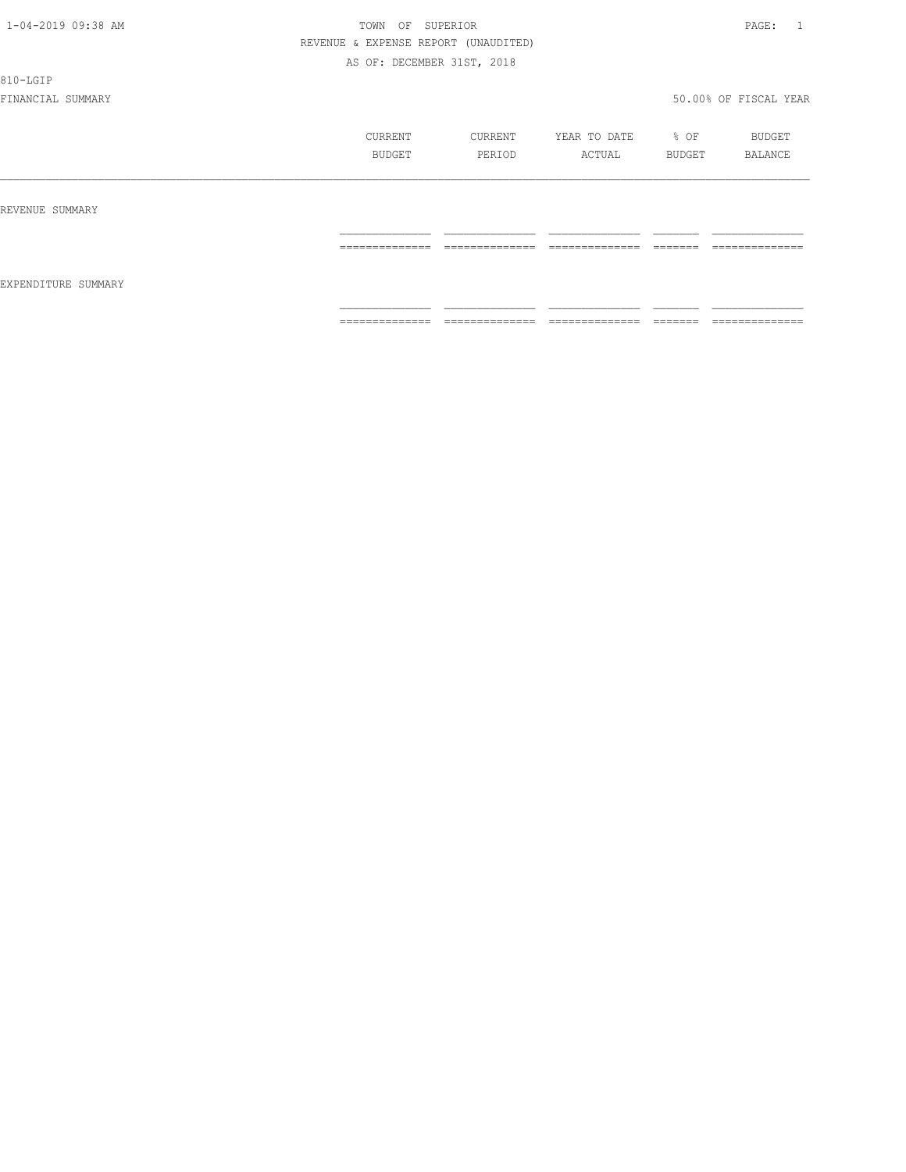810-LGIP

|                     | CURRENT<br>BUDGET | CURRENT<br>PERIOD   | YEAR TO DATE<br>ACTUAL | % OF<br>BUDGET     | BUDGET<br>BALANCE              |
|---------------------|-------------------|---------------------|------------------------|--------------------|--------------------------------|
| REVENUE SUMMARY     |                   |                     |                        |                    |                                |
|                     | ==============    | ______________<br>. | ______________<br>.    | --------<br>====== | ______________<br>------------ |
| EXPENDITURE SUMMARY | ==============    | ==============      | ==============         | --------<br>______ | ==============                 |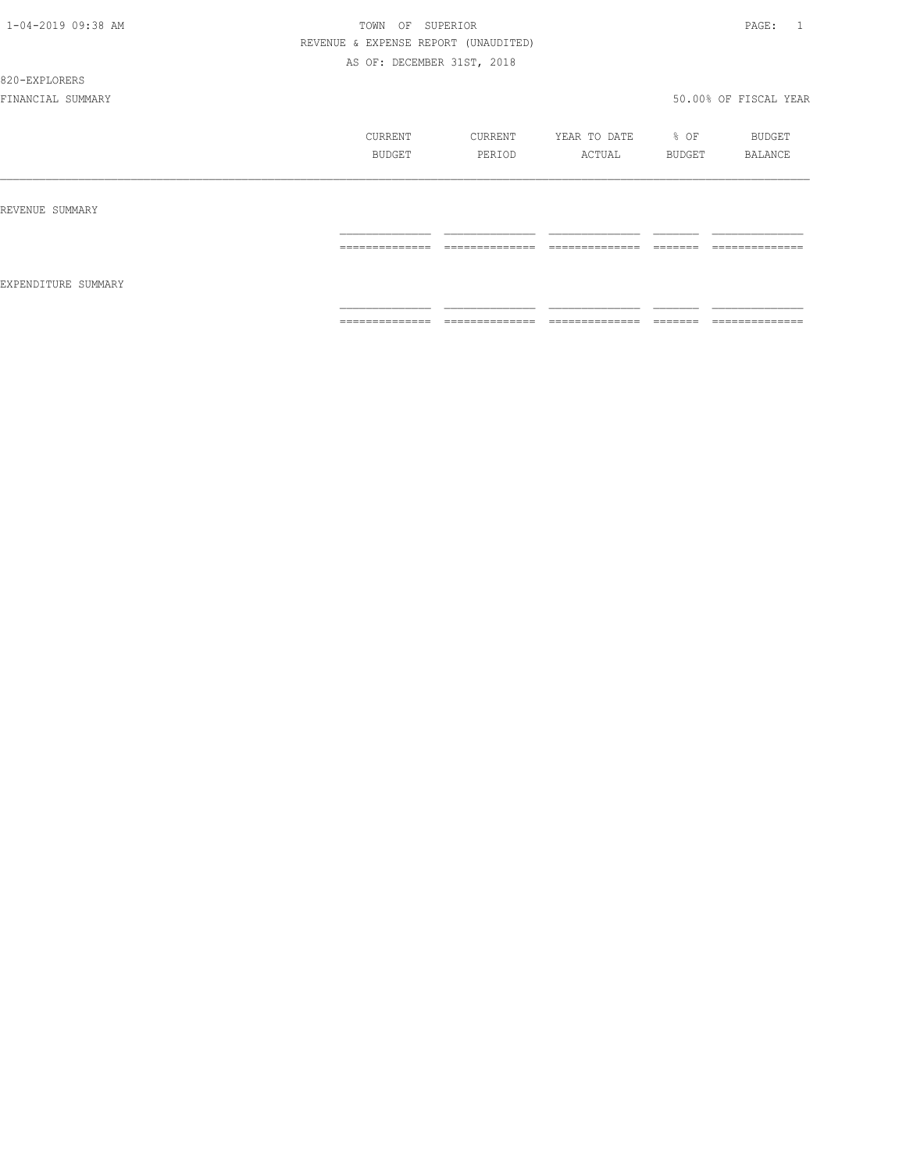#### 820-EXPLORERS

|                     | CURRENT<br>BUDGET                                                                                                                                                                                                                                                                                                                                                                                                                                                                            | CURRENT<br>PERIOD   | YEAR TO DATE<br>ACTUAL           | % OF<br>BUDGET       | BUDGET<br>BALANCE   |
|---------------------|----------------------------------------------------------------------------------------------------------------------------------------------------------------------------------------------------------------------------------------------------------------------------------------------------------------------------------------------------------------------------------------------------------------------------------------------------------------------------------------------|---------------------|----------------------------------|----------------------|---------------------|
| REVENUE SUMMARY     |                                                                                                                                                                                                                                                                                                                                                                                                                                                                                              |                     |                                  |                      |                     |
| EXPENDITURE SUMMARY | $\begin{array}{c} \multicolumn{2}{c} {\textbf{1}} & \multicolumn{2}{c} {\textbf{2}} & \multicolumn{2}{c} {\textbf{3}} & \multicolumn{2}{c} {\textbf{4}} \\ \multicolumn{2}{c} {\textbf{2}} & \multicolumn{2}{c} {\textbf{3}} & \multicolumn{2}{c} {\textbf{4}} & \multicolumn{2}{c} {\textbf{5}} & \multicolumn{2}{c} {\textbf{6}} \\ \multicolumn{2}{c} {\textbf{4}} & \multicolumn{2}{c} {\textbf{5}} & \multicolumn{2}{c} {\textbf{6}} & \multicolumn{2}{c} {\textbf{6}} & \multicolumn{$ | ______________<br>. | --------------<br>______________ | --------<br>________ | --------------<br>. |
|                     | ==============                                                                                                                                                                                                                                                                                                                                                                                                                                                                               | $2222222222222222$  | ==============                   | --------<br>-------  | ==============      |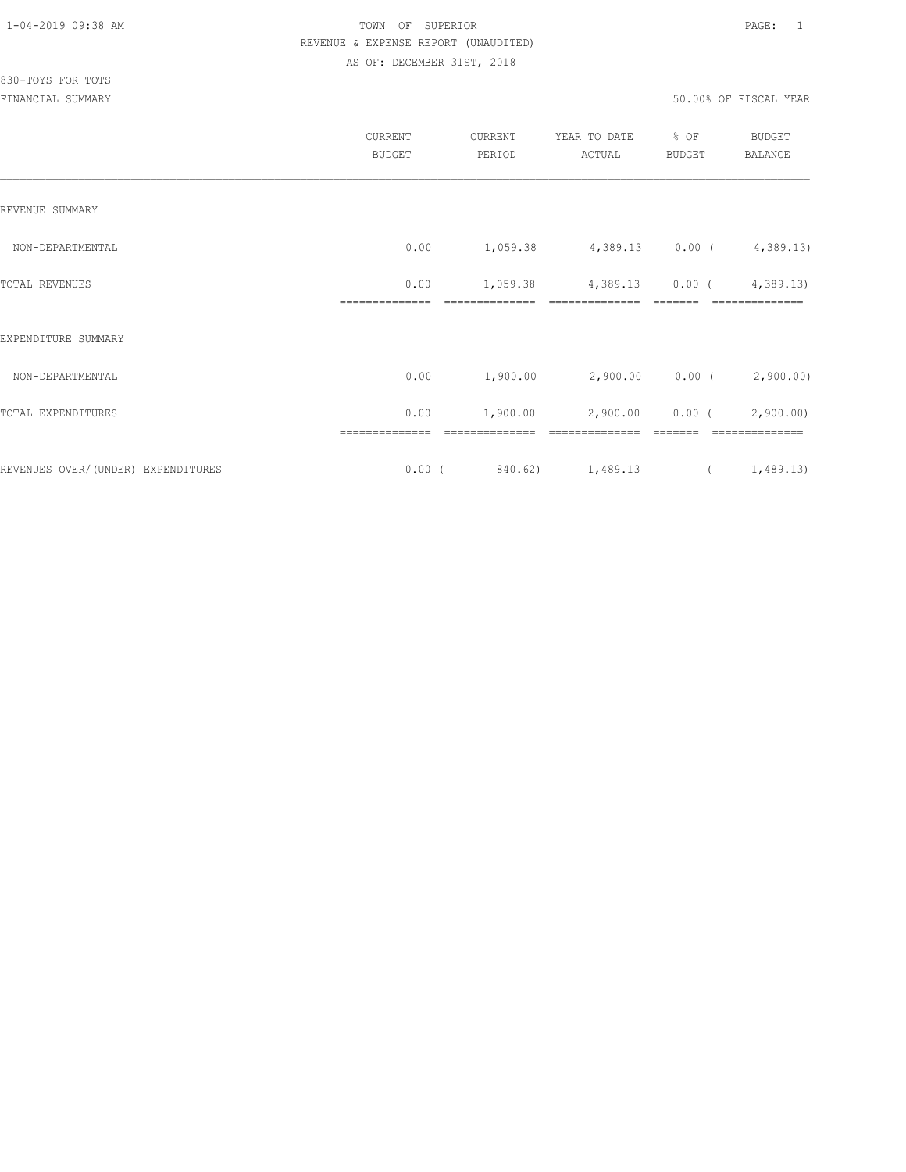|                                    | CURRENT<br><b>BUDGET</b>   | CURRENT<br>PERIOD          | YEAR TO DATE<br>ACTUAL                           | % OF<br><b>BUDGET</b> | <b>BUDGET</b><br>BALANCE    |
|------------------------------------|----------------------------|----------------------------|--------------------------------------------------|-----------------------|-----------------------------|
| REVENUE SUMMARY                    |                            |                            |                                                  |                       |                             |
| NON-DEPARTMENTAL                   | 0.00                       | 1,059.38                   | $4,389.13$ 0.00 ( $4,389.13$ )                   |                       |                             |
| TOTAL REVENUES                     | 0.00<br>==============     | 1,059.38<br>============== | $4,389.13$ 0.00 ( $4,389.13$ )<br>============== |                       | ===========                 |
| EXPENDITURE SUMMARY                |                            |                            |                                                  |                       |                             |
| NON-DEPARTMENTAL                   | 0.00                       | 1,900.00                   | $2,900.00$ 0.00 ( 2,900.00)                      |                       |                             |
| TOTAL EXPENDITURES                 | 0.00                       | 1,900.00                   | 2,900.00                                         |                       | $0.00$ ( $2,900.00$ )       |
| REVENUES OVER/(UNDER) EXPENDITURES | ==============<br>$0.00$ ( | ==============<br>840.62)  | ==============<br>1,489.13                       | $\overline{a}$        | ==============<br>1,489.13) |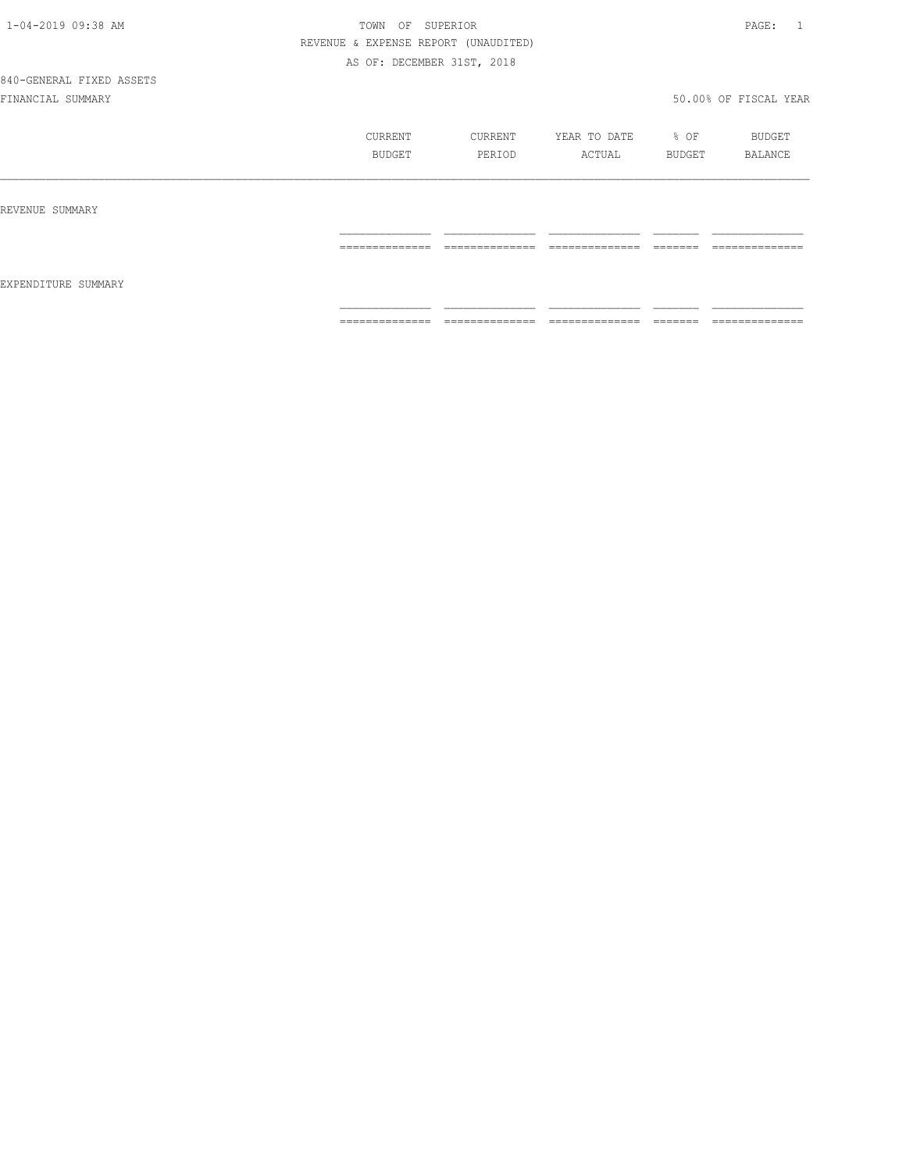840-GENERAL FIXED ASSETS

|                     | CURRENT<br>BUDGET | CURRENT<br>PERIOD | YEAR TO DATE<br>ACTUAL | % OF<br>BUDGET | BUDGET<br>BALANCE |
|---------------------|-------------------|-------------------|------------------------|----------------|-------------------|
| REVENUE SUMMARY     |                   |                   |                        |                |                   |
|                     | ==============    | ==============    | ==============         |                | --------------    |
| EXPENDITURE SUMMARY | --------------    | --------------    | ---------------        | -------        | --------------    |
|                     | -------------     | .                 | .                      | ======         | ------------      |